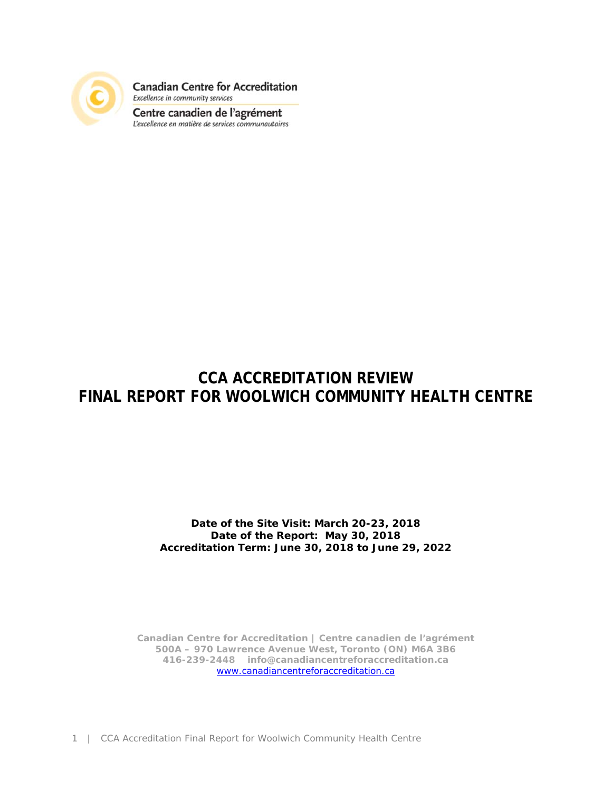

**Canadian Centre for Accreditation** Excellence in community services

Centre canadien de l'agrément<br>L'excellence en matière de services communautaires

## **CCA ACCREDITATION REVIEW FINAL REPORT FOR WOOLWICH COMMUNITY HEALTH CENTRE**

**Date of the Site Visit: March 20-23, 2018 Date of the Report: May 30, 2018 Accreditation Term: June 30, 2018 to June 29, 2022** 

**Canadian Centre for Accreditation | Centre canadien de l'agrément 500A – 970 Lawrence Avenue West, Toronto (ON) M6A 3B6 416-239-2448 info@canadiancentreforaccreditation.ca**  www.canadiancentreforaccreditation.ca

1 | CCA Accreditation Final Report for Woolwich Community Health Centre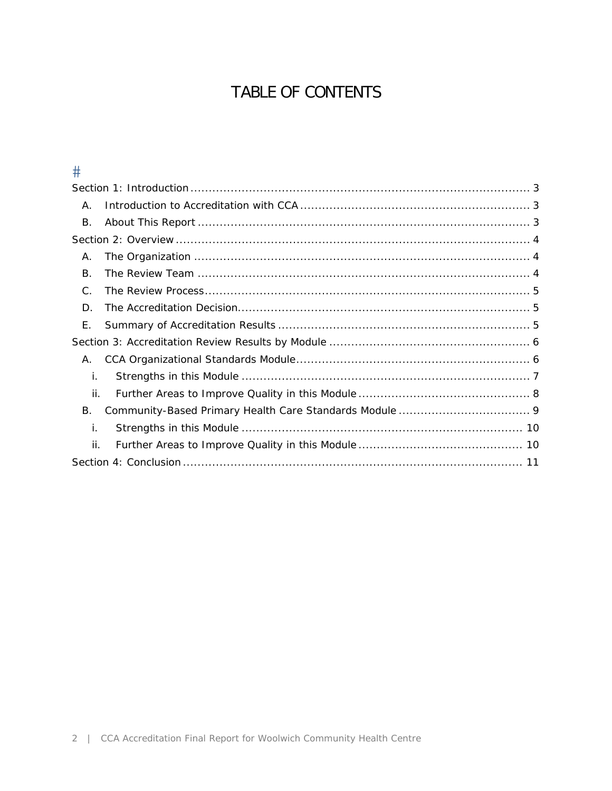# TABLE OF CONTENTS

### $\#$

| Α.            |  |
|---------------|--|
| В.            |  |
|               |  |
| Α.            |  |
| $\mathsf B$ . |  |
| C.            |  |
| D.            |  |
| F.            |  |
|               |  |
| Α.            |  |
| İ.            |  |
| ii.           |  |
| В.            |  |
| j.            |  |
| ii.           |  |
|               |  |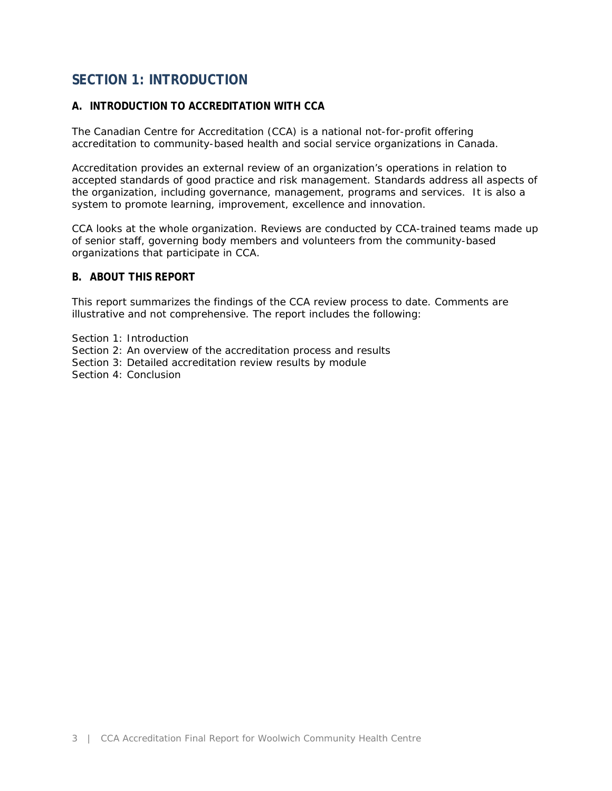### **SECTION 1: INTRODUCTION**

### **A. INTRODUCTION TO ACCREDITATION WITH CCA**

The Canadian Centre for Accreditation (CCA) is a national not-for-profit offering accreditation to community-based health and social service organizations in Canada.

Accreditation provides an external review of an organization's operations in relation to accepted standards of good practice and risk management. Standards address all aspects of the organization, including governance, management, programs and services. It is also a system to promote learning, improvement, excellence and innovation.

CCA looks at the whole organization. Reviews are conducted by CCA-trained teams made up of senior staff, governing body members and volunteers from the community-based organizations that participate in CCA.

### **B. ABOUT THIS REPORT**

This report summarizes the findings of the CCA review process to date. Comments are illustrative and not comprehensive. The report includes the following:

- Section 1: Introduction
- Section 2: An overview of the accreditation process and results
- Section 3: Detailed accreditation review results by module

Section 4: Conclusion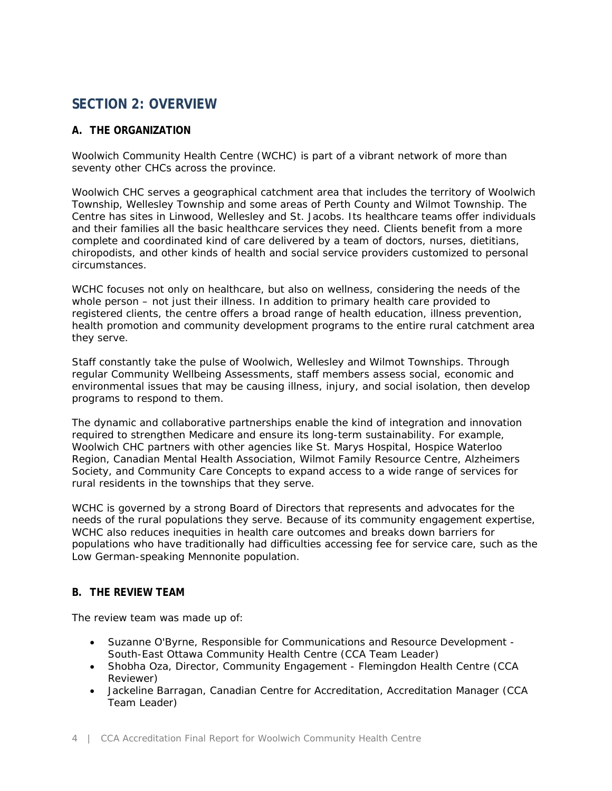### **SECTION 2: OVERVIEW**

### **A. THE ORGANIZATION**

Woolwich Community Health Centre (WCHC) is part of a vibrant network of more than seventy other CHCs across the province.

Woolwich CHC serves a geographical catchment area that includes the territory of Woolwich Township, Wellesley Township and some areas of Perth County and Wilmot Township. The Centre has sites in Linwood, Wellesley and St. Jacobs. Its healthcare teams offer individuals and their families all the basic healthcare services they need. Clients benefit from a more complete and coordinated kind of care delivered by a team of doctors, nurses, dietitians, chiropodists, and other kinds of health and social service providers customized to personal circumstances.

WCHC focuses not only on healthcare, but also on wellness, considering the needs of the whole person – not just their illness. In addition to primary health care provided to registered clients, the centre offers a broad range of health education, illness prevention, health promotion and community development programs to the entire rural catchment area they serve.

Staff constantly take the pulse of Woolwich, Wellesley and Wilmot Townships. Through regular Community Wellbeing Assessments, staff members assess social, economic and environmental issues that may be causing illness, injury, and social isolation, then develop programs to respond to them.

The dynamic and collaborative partnerships enable the kind of integration and innovation required to strengthen Medicare and ensure its long-term sustainability. For example, Woolwich CHC partners with other agencies like St. Marys Hospital, Hospice Waterloo Region, Canadian Mental Health Association, Wilmot Family Resource Centre, Alzheimers Society, and Community Care Concepts to expand access to a wide range of services for rural residents in the townships that they serve.

WCHC is governed by a strong Board of Directors that represents and advocates for the needs of the rural populations they serve. Because of its community engagement expertise, WCHC also reduces inequities in health care outcomes and breaks down barriers for populations who have traditionally had difficulties accessing fee for service care, such as the Low German-speaking Mennonite population.

### **B. THE REVIEW TEAM**

The review team was made up of:

- Suzanne O'Byrne, Responsible for Communications and Resource Development South-East Ottawa Community Health Centre (CCA Team Leader)
- Shobha Oza, Director, Community Engagement Flemingdon Health Centre (CCA Reviewer)
- Jackeline Barragan, Canadian Centre for Accreditation, Accreditation Manager (CCA Team Leader)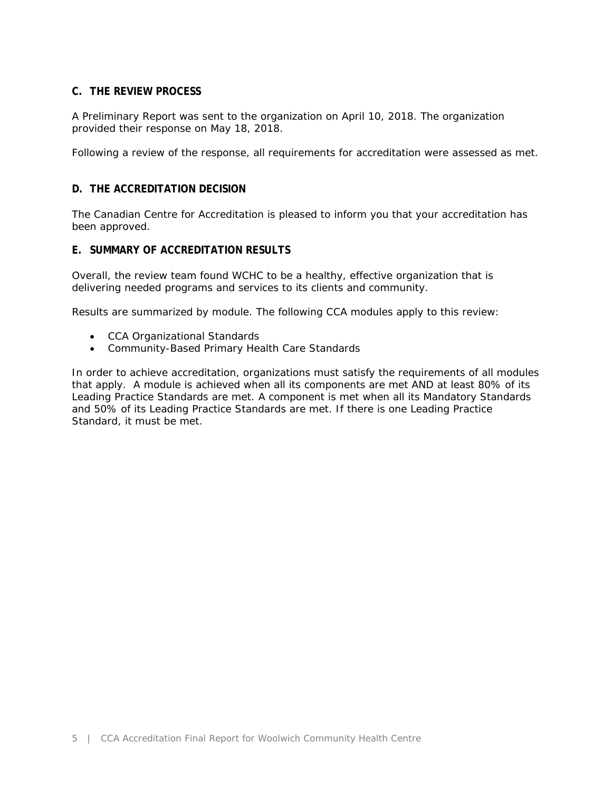### **C. THE REVIEW PROCESS**

A Preliminary Report was sent to the organization on April 10, 2018. The organization provided their response on May 18, 2018.

Following a review of the response, all requirements for accreditation were assessed as met.

### **D. THE ACCREDITATION DECISION**

The Canadian Centre for Accreditation is pleased to inform you that your accreditation has been approved.

### **E. SUMMARY OF ACCREDITATION RESULTS**

Overall, the review team found WCHC to be a healthy, effective organization that is delivering needed programs and services to its clients and community.

Results are summarized by module. The following CCA modules apply to this review:

- CCA Organizational Standards
- Community-Based Primary Health Care Standards

In order to achieve accreditation, organizations must satisfy the requirements of all modules that apply. A module is achieved when all its components are met AND at least 80% of its Leading Practice Standards are met. A component is met when all its Mandatory Standards and 50% of its Leading Practice Standards are met. If there is one Leading Practice Standard, it must be met.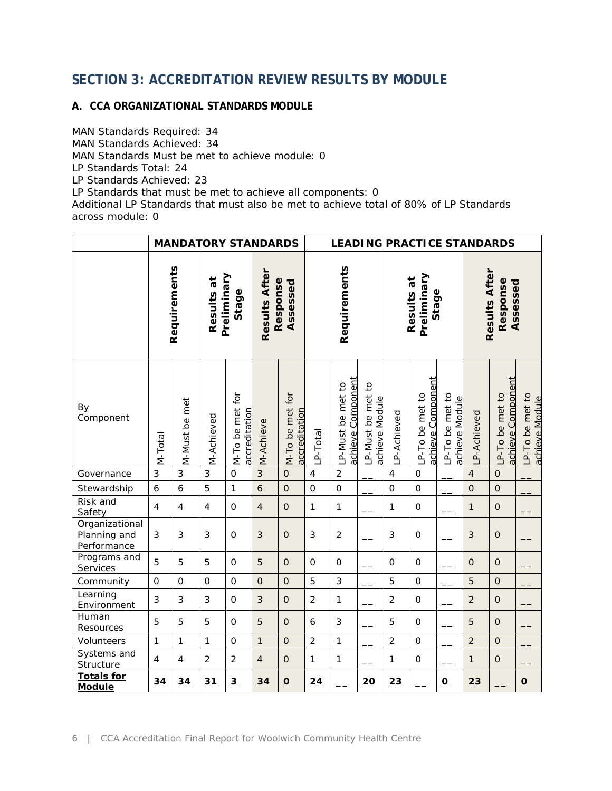### **SECTION 3: ACCREDITATION REVIEW RESULTS BY MODULE**

### **A. CCA ORGANIZATIONAL STANDARDS MODULE**

MAN Standards Required: 34 MAN Standards Achieved: 34 MAN Standards Must be met to achieve module: 0 LP Standards Total: 24 LP Standards Achieved: 23 LP Standards that must be met to achieve all components: 0 Additional LP Standards that must also be met to achieve total of 80% of LP Standards across module: 0

|                                               |                  |                         |                                    | <b>MANDATORY STANDARDS</b>       |                                       |                                  | <b>LEADING PRACTICE STANDARDS</b> |                                              |                                    |                                    |                                     |                                  |                                       |                                            |                                  |  |
|-----------------------------------------------|------------------|-------------------------|------------------------------------|----------------------------------|---------------------------------------|----------------------------------|-----------------------------------|----------------------------------------------|------------------------------------|------------------------------------|-------------------------------------|----------------------------------|---------------------------------------|--------------------------------------------|----------------------------------|--|
|                                               | Requirements     |                         | Preliminary<br>Results at<br>Stage |                                  | Results After<br>Response<br>Assessed |                                  | Requirements                      |                                              |                                    | Preliminary<br>Results at<br>Stage |                                     |                                  | Results After<br>Response<br>Assessed |                                            |                                  |  |
| By<br>Component                               | M-Total          | M-Must be met           | M-Achieved                         | M-To be met for<br>accreditation | M-Achieve                             | M-To be met for<br>accreditation | P-Total                           | <u>achieve Component</u><br>P-Must be met to | P-Must be met to<br>achieve Module | P-Achieved                         | achieve Component<br>P-To be met to | P-To be met to<br>achieve Module | P-Achieved                            | <u>achieve Component</u><br>P-To be met to | P-To be met to<br>achieve Module |  |
| Governance                                    | 3                | 3                       | 3                                  | $\mathsf{O}\xspace$              | 3                                     | $\mathsf O$                      | $\overline{4}$                    | $\overline{c}$                               |                                    | $\overline{4}$                     | $\mathsf O$                         |                                  | $\overline{4}$                        | $\mathbf 0$                                |                                  |  |
| Stewardship                                   | $\boldsymbol{6}$ | $\ddot{\mathbf{6}}$     | 5                                  | $\mathbf{1}$                     | $\ddot{\mathbf{6}}$                   | $\overline{O}$                   | $\mathbf 0$                       | $\overline{O}$                               |                                    | $\overline{0}$                     | $\mathbf 0$                         |                                  | $\overline{0}$                        | $\overline{O}$                             |                                  |  |
| Risk and<br>Safety                            | $\overline{4}$   | 4                       | $\overline{4}$                     | $\mathbf 0$                      | $\overline{4}$                        | $\mathbf 0$                      | 1                                 | $\mathbf{1}$                                 |                                    | $\mathbf{1}$                       | $\mathsf{O}\xspace$                 |                                  | $\mathbf{1}$                          | $\overline{O}$                             |                                  |  |
| Organizational<br>Planning and<br>Performance | 3                | 3                       | 3                                  | $\mathsf{O}$                     | 3                                     | $\mathsf{O}\xspace$              | 3                                 | $\overline{c}$                               |                                    | 3                                  | $\mathsf{O}$                        |                                  | $\mathfrak{Z}$                        | $\mathbf 0$                                |                                  |  |
| Programs and<br>Services                      | 5                | 5                       | 5                                  | $\mathsf{O}$                     | 5                                     | $\overline{O}$                   | $\mathbf 0$                       | $\mathsf{O}\xspace$                          |                                    | $\mathbf 0$                        | $\mathsf{O}$                        |                                  | $\mathbf{O}$                          | $\overline{O}$                             |                                  |  |
| Community                                     | $\mathbf 0$      | $\overline{0}$          | $\Omega$                           | $\mathbf{O}$                     | $\overline{O}$                        | $\overline{O}$                   | 5                                 | 3                                            |                                    | 5                                  | $\overline{O}$                      |                                  | 5                                     | $\overline{O}$                             |                                  |  |
| Learning<br>Environment                       | 3                | 3                       | 3                                  | $\mathbf 0$                      | $\mathfrak{Z}$                        | $\mathbf 0$                      | $\overline{2}$                    | $\mathbf{1}$                                 |                                    | $\overline{2}$                     | $\mathsf{O}\xspace$                 |                                  | $\overline{2}$                        | $\mathbf 0$                                |                                  |  |
| Human<br>Resources                            | 5                | 5                       | 5                                  | $\mathsf O$                      | 5                                     | $\mathsf{O}$                     | 6                                 | 3                                            |                                    | 5                                  | $\mathsf{O}$                        |                                  | 5                                     | $\mathsf{O}\xspace$                        |                                  |  |
| Volunteers                                    | 1                | $\mathbf{1}$            | $\mathbf{1}$                       | $\mathbf 0$                      | $\mathbf{1}$                          | $\overline{O}$                   | $\overline{2}$                    | $\mathbf{1}$                                 |                                    | $\overline{2}$                     | $\overline{0}$                      |                                  | $\overline{2}$                        | $\overline{O}$                             |                                  |  |
| Systems and<br>Structure                      | $\overline{4}$   | $\overline{\mathbf{4}}$ | $\overline{2}$                     | $\overline{2}$                   | $\overline{4}$                        | $\mathsf O$                      | 1                                 | $\mathbf{1}$                                 |                                    | $\mathbf{1}$                       | $\mathsf{O}\xspace$                 |                                  | $\mathbf{1}$                          | $\mathsf{O}\xspace$                        |                                  |  |
| <b>Totals for</b><br><b>Module</b>            | 34               | 34                      | $\overline{31}$                    | $\overline{3}$                   | 34                                    | $\underline{\mathbf{O}}$         | $\overline{24}$                   |                                              | 20                                 | 23                                 |                                     | $\underline{\mathbf{O}}$         | 23                                    |                                            | $\overline{\mathbf{o}}$          |  |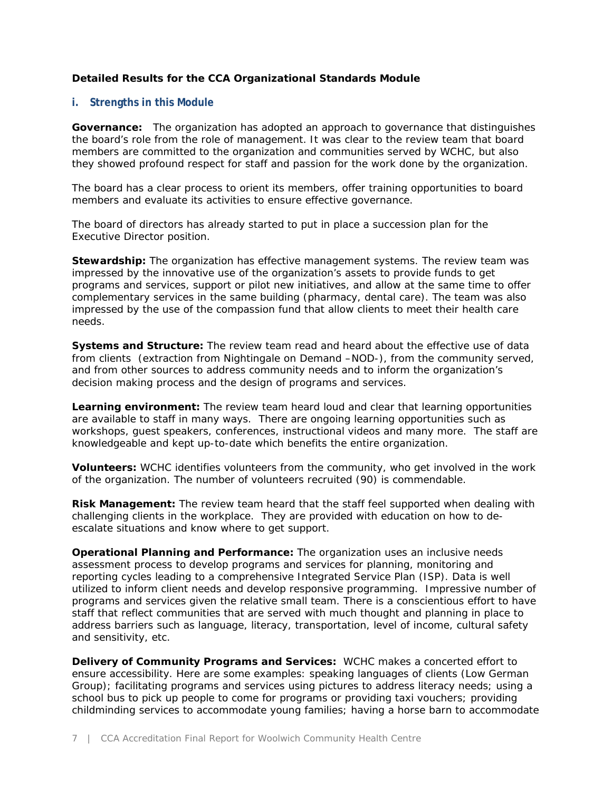### **Detailed Results for the CCA Organizational Standards Module**

### **i. Strengths in this Module**

**Governance:** The organization has adopted an approach to governance that distinguishes the board's role from the role of management. It was clear to the review team that board members are committed to the organization and communities served by WCHC, but also they showed profound respect for staff and passion for the work done by the organization.

The board has a clear process to orient its members, offer training opportunities to board members and evaluate its activities to ensure effective governance.

The board of directors has already started to put in place a succession plan for the Executive Director position.

**Stewardship:** The organization has effective management systems. The review team was impressed by the innovative use of the organization's assets to provide funds to get programs and services, support or pilot new initiatives, and allow at the same time to offer complementary services in the same building (pharmacy, dental care). The team was also impressed by the use of the compassion fund that allow clients to meet their health care needs.

Systems and Structure: The review team read and heard about the effective use of data from clients (extraction from Nightingale on Demand –NOD-), from the community served, and from other sources to address community needs and to inform the organization's decision making process and the design of programs and services.

**Learning environment:** The review team heard loud and clear that learning opportunities are available to staff in many ways. There are ongoing learning opportunities such as workshops, guest speakers, conferences, instructional videos and many more. The staff are knowledgeable and kept up-to-date which benefits the entire organization.

**Volunteers:** WCHC identifies volunteers from the community, who get involved in the work of the organization. The number of volunteers recruited (90) is commendable.

**Risk Management:** The review team heard that the staff feel supported when dealing with challenging clients in the workplace. They are provided with education on how to deescalate situations and know where to get support.

**Operational Planning and Performance:** The organization uses an inclusive needs assessment process to develop programs and services for planning, monitoring and reporting cycles leading to a comprehensive Integrated Service Plan (ISP). Data is well utilized to inform client needs and develop responsive programming. Impressive number of programs and services given the relative small team. There is a conscientious effort to have staff that reflect communities that are served with much thought and planning in place to address barriers such as language, literacy, transportation, level of income, cultural safety and sensitivity, etc.

**Delivery of Community Programs and Services:** WCHC makes a concerted effort to ensure accessibility. Here are some examples: speaking languages of clients (Low German Group); facilitating programs and services using pictures to address literacy needs; using a school bus to pick up people to come for programs or providing taxi vouchers; providing childminding services to accommodate young families; having a horse barn to accommodate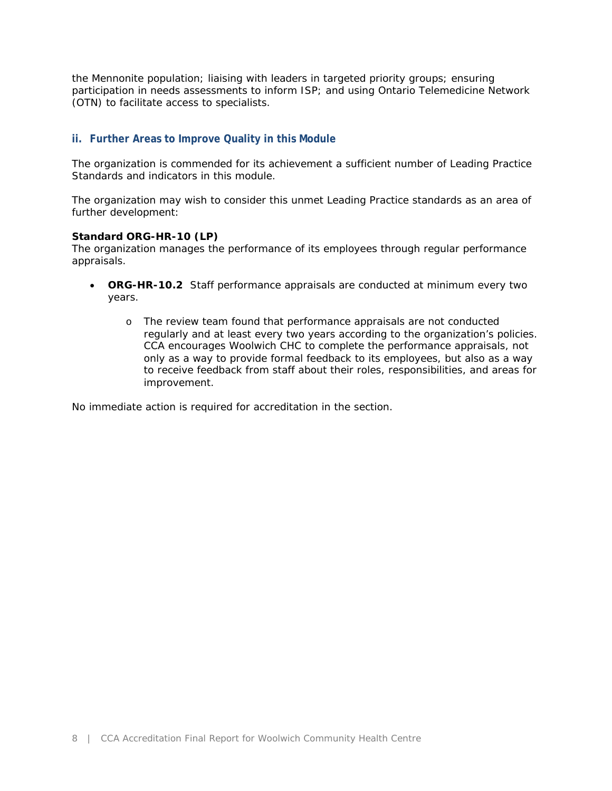the Mennonite population; liaising with leaders in targeted priority groups; ensuring participation in needs assessments to inform ISP; and using Ontario Telemedicine Network (OTN) to facilitate access to specialists.

### **ii. Further Areas to Improve Quality in this Module**

The organization is commended for its achievement a sufficient number of Leading Practice Standards and indicators in this module.

The organization may wish to consider this unmet Leading Practice standards as an area of further development:

#### **Standard ORG-HR-10 (LP)**

*The organization manages the performance of its employees through regular performance appraisals.*

- **ORG-HR-10.***2 Staff performance appraisals are conducted at minimum every two years.* 
	- o The review team found that performance appraisals are not conducted regularly and at least every two years according to the organization's policies. CCA encourages Woolwich CHC to complete the performance appraisals, not only as a way to provide formal feedback to its employees, but also as a way to receive feedback from staff about their roles, responsibilities, and areas for improvement.

No immediate action is required for accreditation in the section.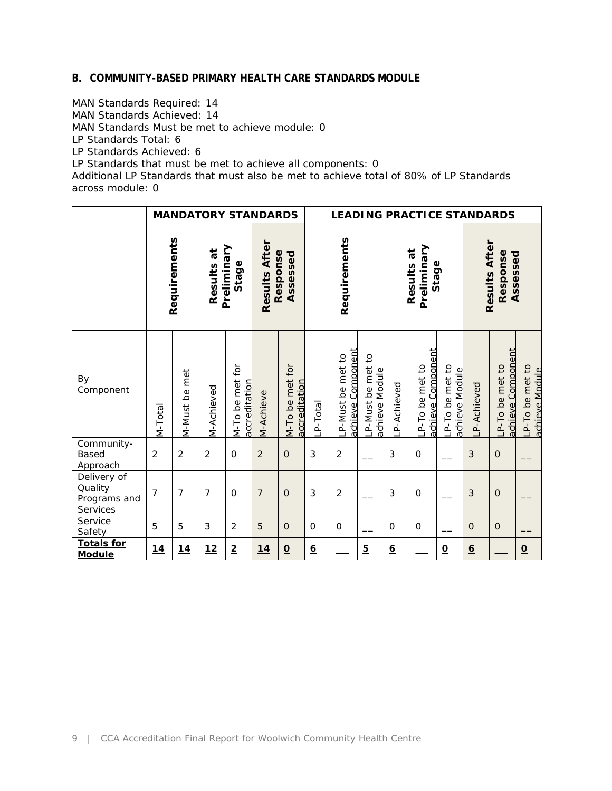#### **B. COMMUNITY-BASED PRIMARY HEALTH CARE STANDARDS MODULE**

MAN Standards Required: 14 MAN Standards Achieved: 14 MAN Standards Must be met to achieve module: 0 LP Standards Total: 6 LP Standards Achieved: 6 LP Standards that must be met to achieve all components: 0

Additional LP Standards that must also be met to achieve total of 80% of LP Standards across module: 0

|                                                    |                | <b>MANDATORY STANDARDS</b>                          |                |                                  |                |                                  | <b>LEADING PRACTICE STANDARDS</b> |                                             |                                                   |                 |                                       |                                  |                 |                                        |                                  |
|----------------------------------------------------|----------------|-----------------------------------------------------|----------------|----------------------------------|----------------|----------------------------------|-----------------------------------|---------------------------------------------|---------------------------------------------------|-----------------|---------------------------------------|----------------------------------|-----------------|----------------------------------------|----------------------------------|
| Requirements                                       |                | Results After<br>Preliminary<br>Results at<br>Stage |                | Response<br>Assessed             | Requirements   |                                  |                                   | Preliminary<br>Results at<br>Stage          |                                                   |                 | Results After<br>Response<br>Assessed |                                  |                 |                                        |                                  |
| By<br>Component                                    | M-Total        | <b>M-Must</b> be met                                | VI-Achieved    | M-To be met for<br>accreditation | VI-Achieve     | M-To be met for<br>accreditation | P-Total                           | Component<br>met to<br>P-Must be<br>achieve | $\overline{c}$<br>P-Must be met<br>achieve Module | P-Achieved      | achieve Component<br>P-To be met to   | P-To be met to<br>achieve Module | P-Achieved      | Component<br>P-To be met to<br>achieve | P-To be met to<br>achieve Module |
| Community-<br><b>Based</b><br>Approach             | $\overline{2}$ | $\overline{2}$                                      | $\overline{2}$ | $\Omega$                         | $\overline{2}$ | $\mathbf 0$                      | 3                                 | $\overline{2}$                              |                                                   | 3               | $\mathsf{O}$                          |                                  | 3               | $\mathsf{O}\xspace$                    |                                  |
| Delivery of<br>Quality<br>Programs and<br>Services | $\overline{7}$ | $\overline{7}$                                      | $\overline{7}$ | $\mathbf 0$                      | $\overline{7}$ | $\mathbf{O}$                     | 3                                 | $\overline{2}$                              |                                                   | $\mathbf{3}$    | $\mathsf{O}$                          |                                  | 3               | $\mathsf{O}\xspace$                    |                                  |
| Service<br>Safety                                  | 5              | 5                                                   | 3              | $\overline{2}$                   | 5              | $\mathsf{O}\xspace$              | $\mathbf 0$                       | $\Omega$                                    |                                                   | $\mathbf 0$     | $\mathbf 0$                           |                                  | $\mathbf 0$     | $\mathsf{O}\xspace$                    |                                  |
| <b>Totals for</b><br><b>Module</b>                 | <u>14</u>      | <u>14</u>                                           | 12             | $\overline{2}$                   | 14             | $\Omega$                         | $\underline{6}$                   |                                             | $5\overline{)}$                                   | $\underline{6}$ |                                       | $\underline{\mathbf{O}}$         | $\underline{6}$ |                                        | $\Omega$                         |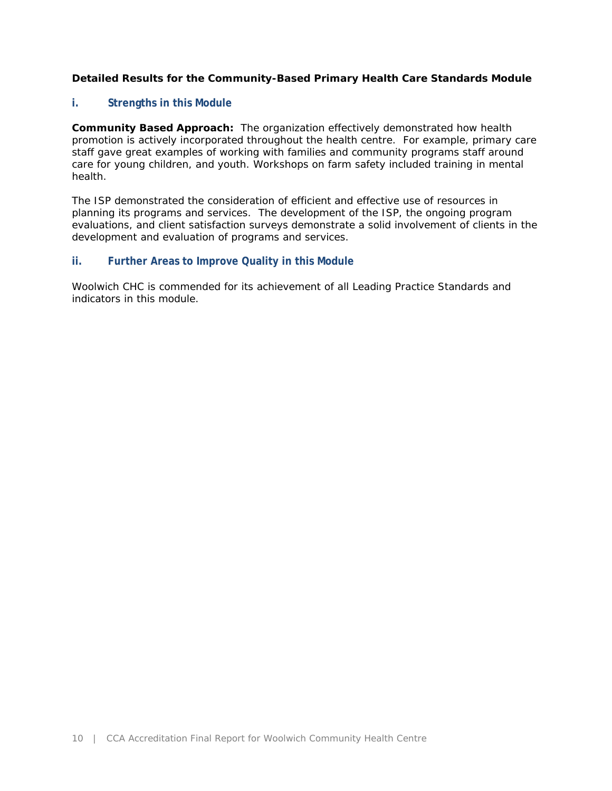### **Detailed Results for the Community-Based Primary Health Care Standards Module**

### **i. Strengths in this Module**

**Community Based Approach:** The organization effectively demonstrated how health promotion is actively incorporated throughout the health centre. For example, primary care staff gave great examples of working with families and community programs staff around care for young children, and youth. Workshops on farm safety included training in mental health.

The ISP demonstrated the consideration of efficient and effective use of resources in planning its programs and services. The development of the ISP, the ongoing program evaluations, and client satisfaction surveys demonstrate a solid involvement of clients in the development and evaluation of programs and services.

#### **ii. Further Areas to Improve Quality in this Module**

Woolwich CHC is commended for its achievement of all Leading Practice Standards and indicators in this module.